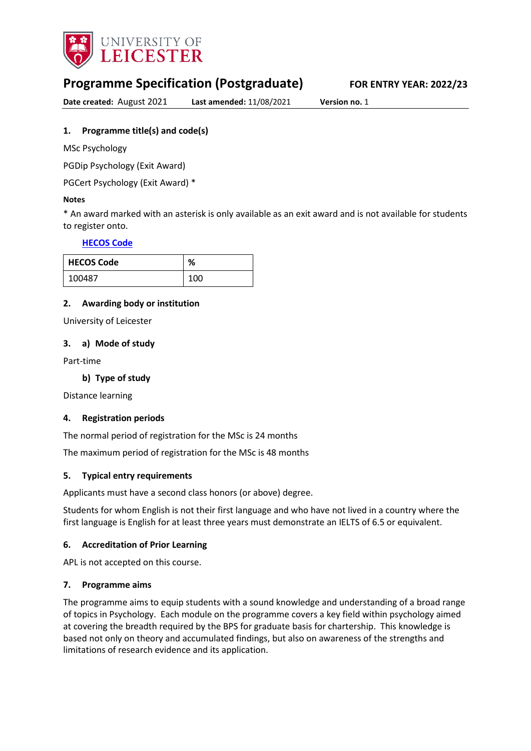

# **Programme Specification (Postgraduate) FOR ENTRY YEAR: 2022/23**

**Date created:** August 2021 **Last amended:** 11/08/2021 **Version no.** 1

# <span id="page-0-0"></span>**1. Programme title(s) and code(s)**

MSc Psychology

PGDip Psychology (Exit Award)

PGCert Psychology (Exit Award) \*

## **Notes**

\* An award marked with an asterisk is only available as an exit award and is not available for students to register onto.

# **[HECOS Code](https://www.hesa.ac.uk/innovation/hecos)**

| <b>HECOS Code</b> | %   |
|-------------------|-----|
| 100487            | 100 |

# **2. Awarding body or institution**

University of Leicester

## **3. a) Mode of study**

Part-time

# **b) Type of study**

Distance learning

#### **4. Registration periods**

The normal period of registration for the MSc is 24 months

The maximum period of registration for the MSc is 48 months

# **5. Typical entry requirements**

Applicants must have a second class honors (or above) degree.

Students for whom English is not their first language and who have not lived in a country where the first language is English for at least three years must demonstrate an IELTS of 6.5 or equivalent.

# **6. Accreditation of Prior Learning**

APL is not accepted on this course.

# **7. Programme aims**

The programme aims to equip students with a sound knowledge and understanding of a broad range of topics in Psychology. Each module on the programme covers a key field within psychology aimed at covering the breadth required by the BPS for graduate basis for chartership. This knowledge is based not only on theory and accumulated findings, but also on awareness of the strengths and limitations of research evidence and its application.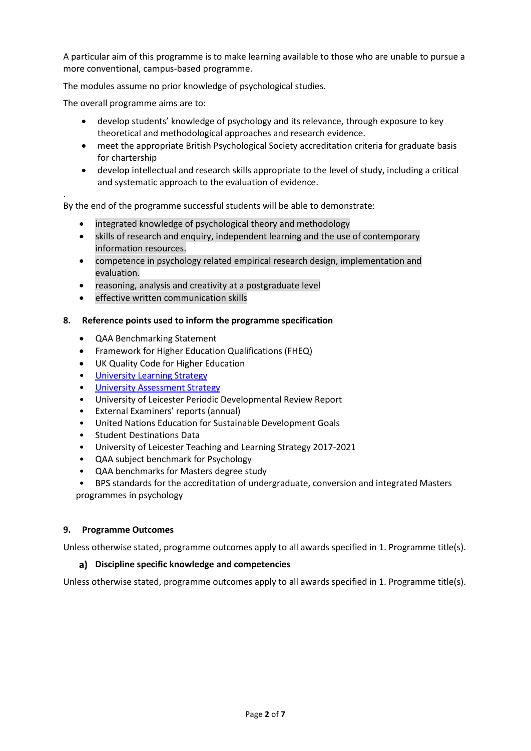A particular aim of this programme is to make learning available to those who are unable to pursue a more conventional, campus-based programme.

The modules assume no prior knowledge of psychological studies.

The overall programme aims are to:

.

- develop students' knowledge of psychology and its relevance, through exposure to key theoretical and methodological approaches and research evidence.
- meet the appropriate British Psychological Society accreditation criteria for graduate basis for chartership
- develop intellectual and research skills appropriate to the level of study, including a critical and systematic approach to the evaluation of evidence.

By the end of the programme successful students will be able to demonstrate:

- integrated knowledge of psychological theory and methodology
- skills of research and enquiry, independent learning and the use of contemporary information resources.
- competence in psychology related empirical research design, implementation and evaluation.
- reasoning, analysis and creativity at a postgraduate level
- effective written communication skills

#### **8. Reference points used to inform the programme specification**

- QAA Benchmarking Statement
- Framework for Higher Education Qualifications (FHEQ)
- UK Quality Code for Higher Education
- [University Learning](https://www2.le.ac.uk/offices/sas2/quality/learnteach) Strategy
- [University Assessment Strategy](https://www2.le.ac.uk/offices/sas2/quality/learnteach)
- University of Leicester Periodic Developmental Review Report
- External Examiners' reports (annual)
- United Nations Education for Sustainable Development Goals
- Student Destinations Data
- University of Leicester Teaching and Learning Strategy 2017-2021
- QAA subject benchmark for Psychology
- QAA benchmarks for Masters degree study
- BPS standards for the accreditation of undergraduate, conversion and integrated Masters programmes in psychology

#### **9. Programme Outcomes**

Unless otherwise stated, programme outcomes apply to all awards specified in [1.](#page-0-0) Programme title(s).

#### **Discipline specific knowledge and competencies**

Unless otherwise stated, programme outcomes apply to all awards specified in 1. Programme title(s).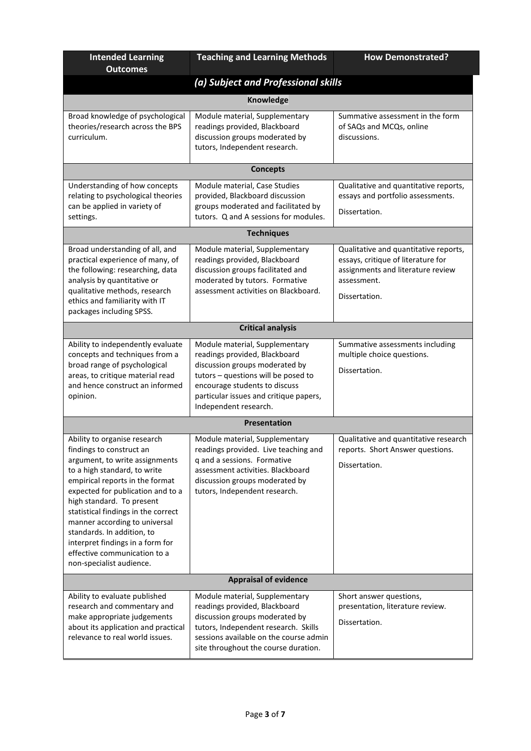| <b>Intended Learning</b><br><b>Outcomes</b>                                                                                                                                                                                                                                                                                                                                                                                           | <b>Teaching and Learning Methods</b>                                                                                                                                                                                                         | <b>How Demonstrated?</b>                                                                                                                         |  |
|---------------------------------------------------------------------------------------------------------------------------------------------------------------------------------------------------------------------------------------------------------------------------------------------------------------------------------------------------------------------------------------------------------------------------------------|----------------------------------------------------------------------------------------------------------------------------------------------------------------------------------------------------------------------------------------------|--------------------------------------------------------------------------------------------------------------------------------------------------|--|
| (a) Subject and Professional skills                                                                                                                                                                                                                                                                                                                                                                                                   |                                                                                                                                                                                                                                              |                                                                                                                                                  |  |
|                                                                                                                                                                                                                                                                                                                                                                                                                                       | Knowledge                                                                                                                                                                                                                                    |                                                                                                                                                  |  |
| Broad knowledge of psychological<br>theories/research across the BPS<br>curriculum.                                                                                                                                                                                                                                                                                                                                                   | Module material, Supplementary<br>readings provided, Blackboard<br>discussion groups moderated by<br>tutors, Independent research.                                                                                                           | Summative assessment in the form<br>of SAQs and MCQs, online<br>discussions.                                                                     |  |
|                                                                                                                                                                                                                                                                                                                                                                                                                                       | <b>Concepts</b>                                                                                                                                                                                                                              |                                                                                                                                                  |  |
| Understanding of how concepts<br>relating to psychological theories<br>can be applied in variety of<br>settings.                                                                                                                                                                                                                                                                                                                      | Module material, Case Studies<br>provided, Blackboard discussion<br>groups moderated and facilitated by<br>tutors. Q and A sessions for modules.                                                                                             | Qualitative and quantitative reports,<br>essays and portfolio assessments.<br>Dissertation.                                                      |  |
|                                                                                                                                                                                                                                                                                                                                                                                                                                       | <b>Techniques</b>                                                                                                                                                                                                                            |                                                                                                                                                  |  |
| Broad understanding of all, and<br>practical experience of many, of<br>the following: researching, data<br>analysis by quantitative or<br>qualitative methods, research<br>ethics and familiarity with IT<br>packages including SPSS.                                                                                                                                                                                                 | Module material, Supplementary<br>readings provided, Blackboard<br>discussion groups facilitated and<br>moderated by tutors. Formative<br>assessment activities on Blackboard.                                                               | Qualitative and quantitative reports,<br>essays, critique of literature for<br>assignments and literature review<br>assessment.<br>Dissertation. |  |
|                                                                                                                                                                                                                                                                                                                                                                                                                                       | <b>Critical analysis</b>                                                                                                                                                                                                                     |                                                                                                                                                  |  |
| Ability to independently evaluate<br>concepts and techniques from a<br>broad range of psychological<br>areas, to critique material read<br>and hence construct an informed<br>opinion.                                                                                                                                                                                                                                                | Module material, Supplementary<br>readings provided, Blackboard<br>discussion groups moderated by<br>tutors - questions will be posed to<br>encourage students to discuss<br>particular issues and critique papers,<br>Independent research. | Summative assessments including<br>multiple choice questions.<br>Dissertation.                                                                   |  |
|                                                                                                                                                                                                                                                                                                                                                                                                                                       | <b>Presentation</b>                                                                                                                                                                                                                          |                                                                                                                                                  |  |
| Ability to organise research<br>findings to construct an<br>argument, to write assignments<br>to a high standard, to write<br>empirical reports in the format<br>expected for publication and to a<br>high standard. To present<br>statistical findings in the correct<br>manner according to universal<br>standards. In addition, to<br>interpret findings in a form for<br>effective communication to a<br>non-specialist audience. | Module material, Supplementary<br>readings provided. Live teaching and<br>q and a sessions. Formative<br>assessment activities. Blackboard<br>discussion groups moderated by<br>tutors, Independent research.                                | Qualitative and quantitative research<br>reports. Short Answer questions.<br>Dissertation.                                                       |  |
| <b>Appraisal of evidence</b>                                                                                                                                                                                                                                                                                                                                                                                                          |                                                                                                                                                                                                                                              |                                                                                                                                                  |  |
| Ability to evaluate published<br>research and commentary and<br>make appropriate judgements<br>about its application and practical<br>relevance to real world issues.                                                                                                                                                                                                                                                                 | Module material, Supplementary<br>readings provided, Blackboard<br>discussion groups moderated by<br>tutors, Independent research. Skills<br>sessions available on the course admin<br>site throughout the course duration.                  | Short answer questions,<br>presentation, literature review.<br>Dissertation.                                                                     |  |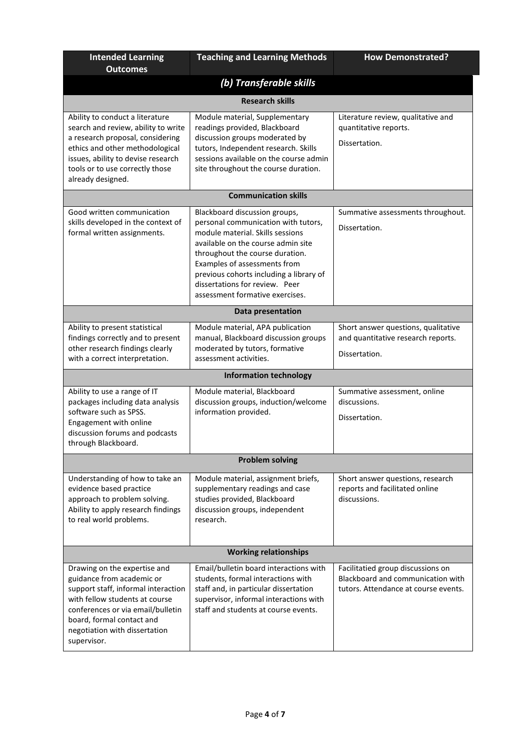| <b>Intended Learning</b><br><b>Outcomes</b>                                                                                                                                                                                                          | <b>Teaching and Learning Methods</b>                                                                                                                                                                                                                                                                                              | <b>How Demonstrated?</b>                                                                                       |  |  |
|------------------------------------------------------------------------------------------------------------------------------------------------------------------------------------------------------------------------------------------------------|-----------------------------------------------------------------------------------------------------------------------------------------------------------------------------------------------------------------------------------------------------------------------------------------------------------------------------------|----------------------------------------------------------------------------------------------------------------|--|--|
|                                                                                                                                                                                                                                                      | (b) Transferable skills                                                                                                                                                                                                                                                                                                           |                                                                                                                |  |  |
|                                                                                                                                                                                                                                                      | <b>Research skills</b>                                                                                                                                                                                                                                                                                                            |                                                                                                                |  |  |
| Ability to conduct a literature<br>search and review, ability to write<br>a research proposal, considering<br>ethics and other methodological<br>issues, ability to devise research<br>tools or to use correctly those<br>already designed.          | Module material, Supplementary<br>readings provided, Blackboard<br>discussion groups moderated by<br>tutors, Independent research. Skills<br>sessions available on the course admin<br>site throughout the course duration.                                                                                                       | Literature review, qualitative and<br>quantitative reports.<br>Dissertation.                                   |  |  |
|                                                                                                                                                                                                                                                      | <b>Communication skills</b>                                                                                                                                                                                                                                                                                                       |                                                                                                                |  |  |
| Good written communication<br>skills developed in the context of<br>formal written assignments.                                                                                                                                                      | Blackboard discussion groups,<br>personal communication with tutors,<br>module material. Skills sessions<br>available on the course admin site<br>throughout the course duration.<br>Examples of assessments from<br>previous cohorts including a library of<br>dissertations for review. Peer<br>assessment formative exercises. | Summative assessments throughout.<br>Dissertation.                                                             |  |  |
|                                                                                                                                                                                                                                                      | Data presentation                                                                                                                                                                                                                                                                                                                 |                                                                                                                |  |  |
| Ability to present statistical<br>findings correctly and to present<br>other research findings clearly<br>with a correct interpretation.                                                                                                             | Module material, APA publication<br>manual, Blackboard discussion groups<br>moderated by tutors, formative<br>assessment activities.                                                                                                                                                                                              | Short answer questions, qualitative<br>and quantitative research reports.<br>Dissertation.                     |  |  |
|                                                                                                                                                                                                                                                      | <b>Information technology</b>                                                                                                                                                                                                                                                                                                     |                                                                                                                |  |  |
| Ability to use a range of IT<br>packages including data analysis<br>software such as SPSS.<br>Engagement with online<br>discussion forums and podcasts<br>through Blackboard.                                                                        | Module material, Blackboard<br>discussion groups, induction/welcome<br>information provided.                                                                                                                                                                                                                                      | Summative assessment, online<br>discussions.<br>Dissertation.                                                  |  |  |
|                                                                                                                                                                                                                                                      | <b>Problem solving</b>                                                                                                                                                                                                                                                                                                            |                                                                                                                |  |  |
| Understanding of how to take an<br>evidence based practice<br>approach to problem solving.<br>Ability to apply research findings<br>to real world problems.                                                                                          | Module material, assignment briefs,<br>supplementary readings and case<br>studies provided, Blackboard<br>discussion groups, independent<br>research.                                                                                                                                                                             | Short answer questions, research<br>reports and facilitated online<br>discussions.                             |  |  |
| <b>Working relationships</b>                                                                                                                                                                                                                         |                                                                                                                                                                                                                                                                                                                                   |                                                                                                                |  |  |
| Drawing on the expertise and<br>guidance from academic or<br>support staff, informal interaction<br>with fellow students at course<br>conferences or via email/bulletin<br>board, formal contact and<br>negotiation with dissertation<br>supervisor. | Email/bulletin board interactions with<br>students, formal interactions with<br>staff and, in particular dissertation<br>supervisor, informal interactions with<br>staff and students at course events.                                                                                                                           | Facilitatied group discussions on<br>Blackboard and communication with<br>tutors. Attendance at course events. |  |  |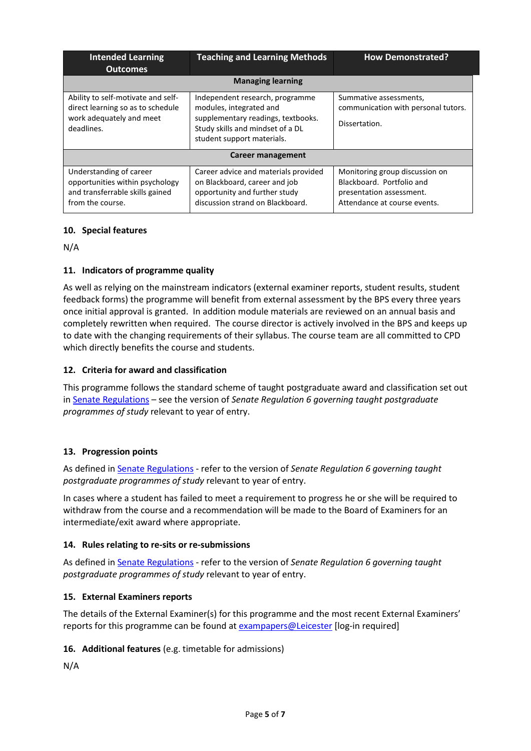| <b>Intended Learning</b><br><b>Outcomes</b>                                                                       | <b>Teaching and Learning Methods</b>                                                                                                                               | <b>How Demonstrated?</b>                                                                                                |  |  |  |
|-------------------------------------------------------------------------------------------------------------------|--------------------------------------------------------------------------------------------------------------------------------------------------------------------|-------------------------------------------------------------------------------------------------------------------------|--|--|--|
|                                                                                                                   | <b>Managing learning</b>                                                                                                                                           |                                                                                                                         |  |  |  |
| Ability to self-motivate and self-<br>direct learning so as to schedule<br>work adequately and meet<br>deadlines. | Independent research, programme<br>modules, integrated and<br>supplementary readings, textbooks.<br>Study skills and mindset of a DL<br>student support materials. | Summative assessments,<br>communication with personal tutors.<br>Dissertation.                                          |  |  |  |
| Career management                                                                                                 |                                                                                                                                                                    |                                                                                                                         |  |  |  |
| Understanding of career<br>opportunities within psychology<br>and transferrable skills gained<br>from the course. | Career advice and materials provided<br>on Blackboard, career and job<br>opportunity and further study<br>discussion strand on Blackboard.                         | Monitoring group discussion on<br>Blackboard. Portfolio and<br>presentation assessment.<br>Attendance at course events. |  |  |  |

# **10. Special features**

N/A

# **11. Indicators of programme quality**

As well as relying on the mainstream indicators (external examiner reports, student results, student feedback forms) the programme will benefit from external assessment by the BPS every three years once initial approval is granted. In addition module materials are reviewed on an annual basis and completely rewritten when required. The course director is actively involved in the BPS and keeps up to date with the changing requirements of their syllabus. The course team are all committed to CPD which directly benefits the course and students.

## **12. Criteria for award and classification**

This programme follows the standard scheme of taught postgraduate award and classification set out i[n Senate Regulations](http://www.le.ac.uk/senate-regulations) – see the version of *Senate Regulation 6 governing taught postgraduate programmes of study* relevant to year of entry.

#### **13. Progression points**

As defined i[n Senate Regulations](http://www.le.ac.uk/senate-regulation6) - refer to the version of *Senate Regulation 6 governing taught postgraduate programmes of study* relevant to year of entry.

In cases where a student has failed to meet a requirement to progress he or she will be required to withdraw from the course and a recommendation will be made to the Board of Examiners for an intermediate/exit award where appropriate.

#### **14. Rules relating to re-sits or re-submissions**

As defined i[n Senate Regulations](http://www.le.ac.uk/senate-regulation6) - refer to the version of *Senate Regulation 6 governing taught postgraduate programmes of study* relevant to year of entry.

#### **15. External Examiners reports**

The details of the External Examiner(s) for this programme and the most recent External Examiners' reports for this programme can be found at [exampapers@Leicester](https://exampapers.le.ac.uk/) [log-in required]

# **16. Additional features** (e.g. timetable for admissions)

N/A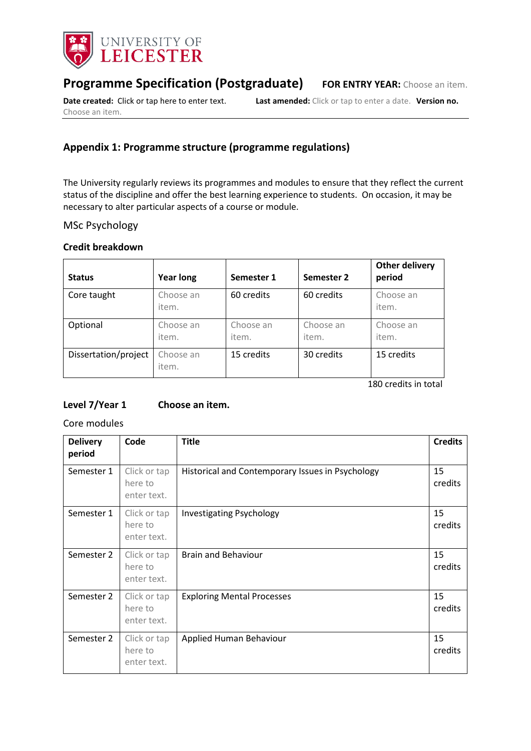

# **Programme Specification (Postgraduate) FOR ENTRY YEAR:** Choose an item.

Choose an item.

**Date created:** Click or tap here to enter text. **Last amended:** Click or tap to enter a date. **Version no.** 

# **Appendix 1: Programme structure (programme regulations)**

The University regularly reviews its programmes and modules to ensure that they reflect the current status of the discipline and offer the best learning experience to students. On occasion, it may be necessary to alter particular aspects of a course or module.

# MSc Psychology

## **Credit breakdown**

| <b>Status</b>        | <b>Year long</b>   | Semester 1         | Semester 2         | <b>Other delivery</b><br>period |
|----------------------|--------------------|--------------------|--------------------|---------------------------------|
| Core taught          | Choose an<br>item. | 60 credits         | 60 credits         | Choose an<br>item.              |
| Optional             | Choose an<br>item. | Choose an<br>item. | Choose an<br>item. | Choose an<br>item.              |
| Dissertation/project | Choose an<br>item. | 15 credits         | 30 credits         | 15 credits                      |

180 credits in total

# **Level 7/Year 1 Choose an item.**

Core modules

| <b>Delivery</b><br>period | Code                                   | <b>Title</b>                                     | <b>Credits</b> |
|---------------------------|----------------------------------------|--------------------------------------------------|----------------|
| Semester 1                | Click or tap<br>here to<br>enter text. | Historical and Contemporary Issues in Psychology | 15<br>credits  |
| Semester 1                | Click or tap<br>here to<br>enter text. | <b>Investigating Psychology</b>                  | 15<br>credits  |
| Semester 2                | Click or tap<br>here to<br>enter text. | <b>Brain and Behaviour</b>                       | 15<br>credits  |
| Semester 2                | Click or tap<br>here to<br>enter text. | <b>Exploring Mental Processes</b>                | 15<br>credits  |
| Semester 2                | Click or tap<br>here to<br>enter text. | Applied Human Behaviour                          | 15<br>credits  |